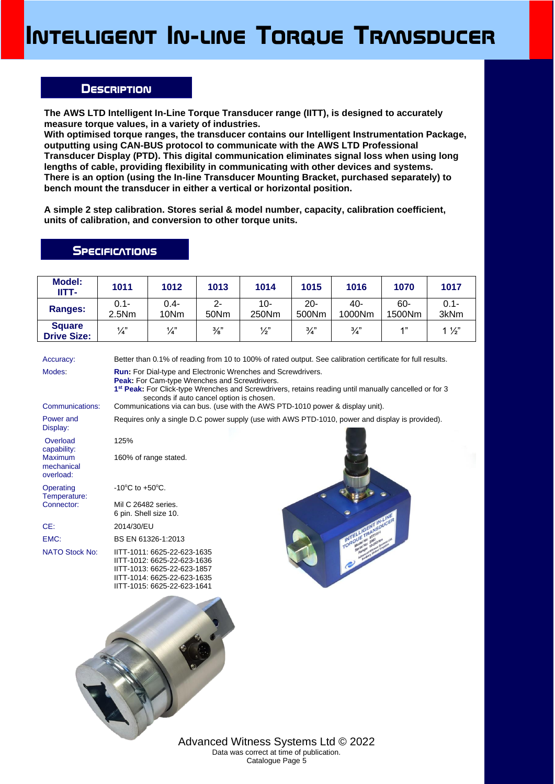## **Intelligent In-line Torque Transducer**

## **Description**

**The AWS LTD Intelligent In-Line Torque Transducer range (IITT), is designed to accurately measure torque values, in a variety of industries.**

**With optimised torque ranges, the transducer contains our Intelligent Instrumentation Package, outputting using CAN-BUS protocol to communicate with the AWS LTD Professional Transducer Display (PTD). This digital communication eliminates signal loss when using long lengths of cable, providing flexibility in communicating with other devices and systems. There is an option (using the In-line Transducer Mounting Bracket, purchased separately) to bench mount the transducer in either a vertical or horizontal position.**

**A simple 2 step calibration. Stores serial & model number, capacity, calibration coefficient, units of calibration, and conversion to other torque units.** 

## **SPECIFICATIONS**

| <b>Model:</b><br>IITT-                    | 1011                                  | 1012                                                                                                                                                                                                                                                                                  | 1013            | 1014                                                                                                       | 1015            | 1016          | 1070          | 1017            |  |  |  |
|-------------------------------------------|---------------------------------------|---------------------------------------------------------------------------------------------------------------------------------------------------------------------------------------------------------------------------------------------------------------------------------------|-----------------|------------------------------------------------------------------------------------------------------------|-----------------|---------------|---------------|-----------------|--|--|--|
| <b>Ranges:</b>                            | $0.1 -$<br>2.5Nm                      | $0.4 -$<br>10Nm                                                                                                                                                                                                                                                                       | $2 -$<br>50Nm   | $10-$<br>250Nm                                                                                             | $20 -$<br>500Nm | 40-<br>1000Nm | 60-<br>1500Nm | $0.1 -$<br>3kNm |  |  |  |
| <b>Square</b><br><b>Drive Size:</b>       | $\frac{1}{4}$                         | $\frac{1}{4}$                                                                                                                                                                                                                                                                         | $\frac{3}{8}$ " | $\frac{1}{2}$                                                                                              | $\frac{3}{4}$ " | $\frac{3}{4}$ | 1"            | $1\frac{1}{2}$  |  |  |  |
| Accuracy:                                 |                                       |                                                                                                                                                                                                                                                                                       |                 | Better than 0.1% of reading from 10 to 100% of rated output. See calibration certificate for full results. |                 |               |               |                 |  |  |  |
| Modes:                                    |                                       | <b>Run:</b> For Dial-type and Electronic Wrenches and Screwdrivers.<br>Peak: For Cam-type Wrenches and Screwdrivers.<br>1 <sup>st</sup> Peak: For Click-type Wrenches and Screwdrivers, retains reading until manually cancelled or for 3<br>seconds if auto cancel option is chosen. |                 |                                                                                                            |                 |               |               |                 |  |  |  |
| Communications:                           |                                       | Communications via can bus. (use with the AWS PTD-1010 power & display unit).                                                                                                                                                                                                         |                 |                                                                                                            |                 |               |               |                 |  |  |  |
| Power and<br>Display:                     |                                       | Requires only a single D.C power supply (use with AWS PTD-1010, power and display is provided).                                                                                                                                                                                       |                 |                                                                                                            |                 |               |               |                 |  |  |  |
| Overload<br>capability:                   | 125%                                  |                                                                                                                                                                                                                                                                                       |                 |                                                                                                            |                 |               |               |                 |  |  |  |
| <b>Maximum</b><br>mechanical<br>overload: |                                       | 160% of range stated.                                                                                                                                                                                                                                                                 |                 |                                                                                                            |                 |               |               |                 |  |  |  |
| Operating<br>Temperature:                 | -10 $^{\circ}$ C to +50 $^{\circ}$ C. |                                                                                                                                                                                                                                                                                       |                 |                                                                                                            |                 |               |               |                 |  |  |  |
| Connector:                                |                                       | Mil C 26482 series.<br>6 pin. Shell size 10.                                                                                                                                                                                                                                          |                 |                                                                                                            |                 |               |               |                 |  |  |  |
| CE:                                       | 2014/30/EU                            |                                                                                                                                                                                                                                                                                       |                 |                                                                                                            |                 |               |               |                 |  |  |  |
| EMC:                                      |                                       | BS EN 61326-1:2013                                                                                                                                                                                                                                                                    |                 |                                                                                                            |                 |               |               |                 |  |  |  |
| <b>NATO Stock No:</b>                     |                                       | IITT-1011: 6625-22-623-1635<br>IITT-1012: 6625-22-623-1636<br>IITT-1013: 6625-22-623-1857<br>IITT-1014: 6625-22-623-1635<br>IITT-1015: 6625-22-623-1641                                                                                                                               |                 |                                                                                                            |                 |               |               |                 |  |  |  |
|                                           |                                       |                                                                                                                                                                                                                                                                                       |                 |                                                                                                            |                 |               |               |                 |  |  |  |